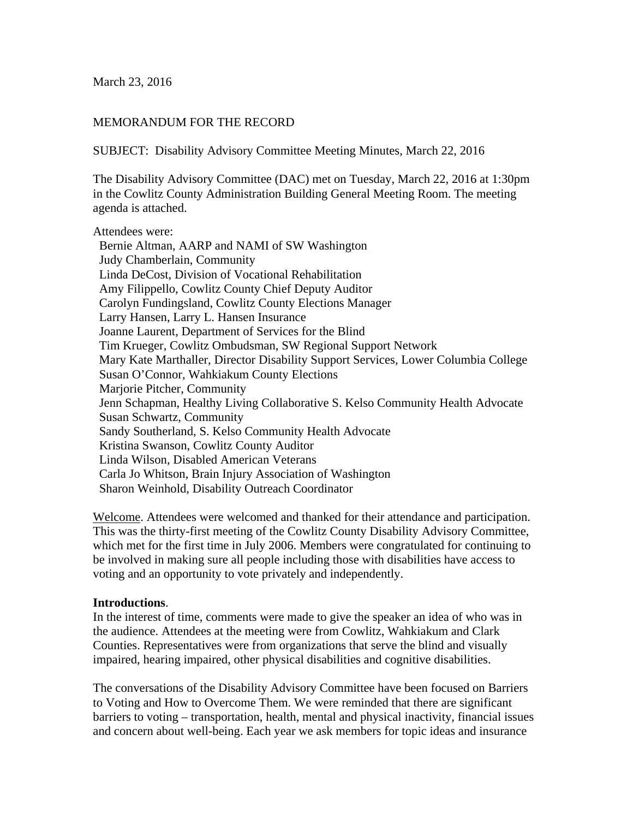March 23, 2016

## MEMORANDUM FOR THE RECORD

SUBJECT: Disability Advisory Committee Meeting Minutes, March 22, 2016

The Disability Advisory Committee (DAC) met on Tuesday, March 22, 2016 at 1:30pm in the Cowlitz County Administration Building General Meeting Room. The meeting agenda is attached.

#### Attendees were:

 Bernie Altman, AARP and NAMI of SW Washington Judy Chamberlain, Community Linda DeCost, Division of Vocational Rehabilitation Amy Filippello, Cowlitz County Chief Deputy Auditor Carolyn Fundingsland, Cowlitz County Elections Manager Larry Hansen, Larry L. Hansen Insurance Joanne Laurent, Department of Services for the Blind Tim Krueger, Cowlitz Ombudsman, SW Regional Support Network Mary Kate Marthaller, Director Disability Support Services, Lower Columbia College Susan O'Connor, Wahkiakum County Elections Marjorie Pitcher, Community Jenn Schapman, Healthy Living Collaborative S. Kelso Community Health Advocate Susan Schwartz, Community Sandy Southerland, S. Kelso Community Health Advocate Kristina Swanson, Cowlitz County Auditor Linda Wilson, Disabled American Veterans Carla Jo Whitson, Brain Injury Association of Washington Sharon Weinhold, Disability Outreach Coordinator

Welcome. Attendees were welcomed and thanked for their attendance and participation. This was the thirty-first meeting of the Cowlitz County Disability Advisory Committee, which met for the first time in July 2006. Members were congratulated for continuing to be involved in making sure all people including those with disabilities have access to voting and an opportunity to vote privately and independently.

#### **Introductions**.

In the interest of time, comments were made to give the speaker an idea of who was in the audience. Attendees at the meeting were from Cowlitz, Wahkiakum and Clark Counties. Representatives were from organizations that serve the blind and visually impaired, hearing impaired, other physical disabilities and cognitive disabilities.

The conversations of the Disability Advisory Committee have been focused on Barriers to Voting and How to Overcome Them. We were reminded that there are significant barriers to voting – transportation, health, mental and physical inactivity, financial issues and concern about well-being. Each year we ask members for topic ideas and insurance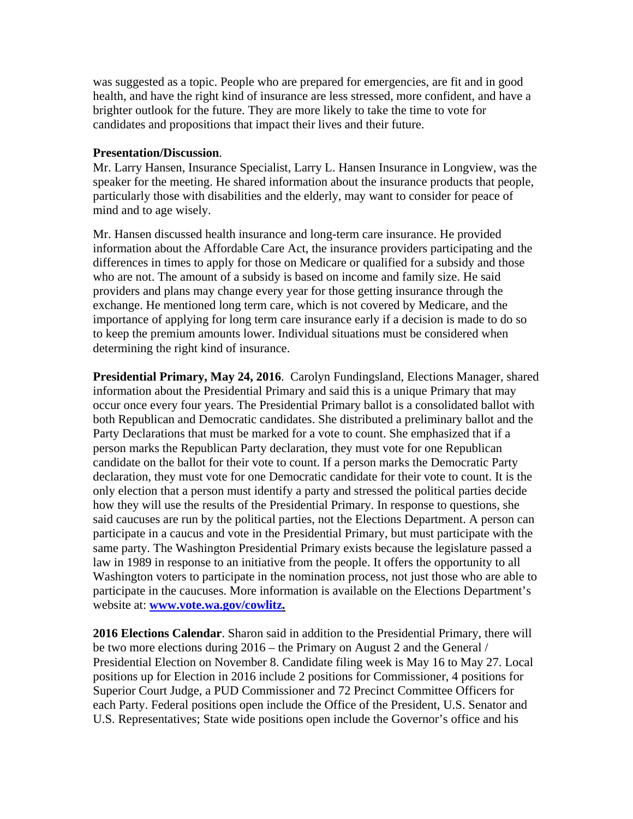was suggested as a topic. People who are prepared for emergencies, are fit and in good health, and have the right kind of insurance are less stressed, more confident, and have a brighter outlook for the future. They are more likely to take the time to vote for candidates and propositions that impact their lives and their future.

### **Presentation/Discussion**.

Mr. Larry Hansen, Insurance Specialist, Larry L. Hansen Insurance in Longview, was the speaker for the meeting. He shared information about the insurance products that people, particularly those with disabilities and the elderly, may want to consider for peace of mind and to age wisely.

Mr. Hansen discussed health insurance and long-term care insurance. He provided information about the Affordable Care Act, the insurance providers participating and the differences in times to apply for those on Medicare or qualified for a subsidy and those who are not. The amount of a subsidy is based on income and family size. He said providers and plans may change every year for those getting insurance through the exchange. He mentioned long term care, which is not covered by Medicare, and the importance of applying for long term care insurance early if a decision is made to do so to keep the premium amounts lower. Individual situations must be considered when determining the right kind of insurance.

**Presidential Primary, May 24, 2016**. Carolyn Fundingsland, Elections Manager, shared information about the Presidential Primary and said this is a unique Primary that may occur once every four years. The Presidential Primary ballot is a consolidated ballot with both Republican and Democratic candidates. She distributed a preliminary ballot and the Party Declarations that must be marked for a vote to count. She emphasized that if a person marks the Republican Party declaration, they must vote for one Republican candidate on the ballot for their vote to count. If a person marks the Democratic Party declaration, they must vote for one Democratic candidate for their vote to count. It is the only election that a person must identify a party and stressed the political parties decide how they will use the results of the Presidential Primary. In response to questions, she said caucuses are run by the political parties, not the Elections Department. A person can participate in a caucus and vote in the Presidential Primary, but must participate with the same party. The Washington Presidential Primary exists because the legislature passed a law in 1989 in response to an initiative from the people. It offers the opportunity to all Washington voters to participate in the nomination process, not just those who are able to participate in the caucuses. More information is available on the Elections Department's website at: **www.vote.wa.gov/cowlitz.** 

**2016 Elections Calendar**. Sharon said in addition to the Presidential Primary, there will be two more elections during 2016 – the Primary on August 2 and the General / Presidential Election on November 8. Candidate filing week is May 16 to May 27. Local positions up for Election in 2016 include 2 positions for Commissioner, 4 positions for Superior Court Judge, a PUD Commissioner and 72 Precinct Committee Officers for each Party. Federal positions open include the Office of the President, U.S. Senator and U.S. Representatives; State wide positions open include the Governor's office and his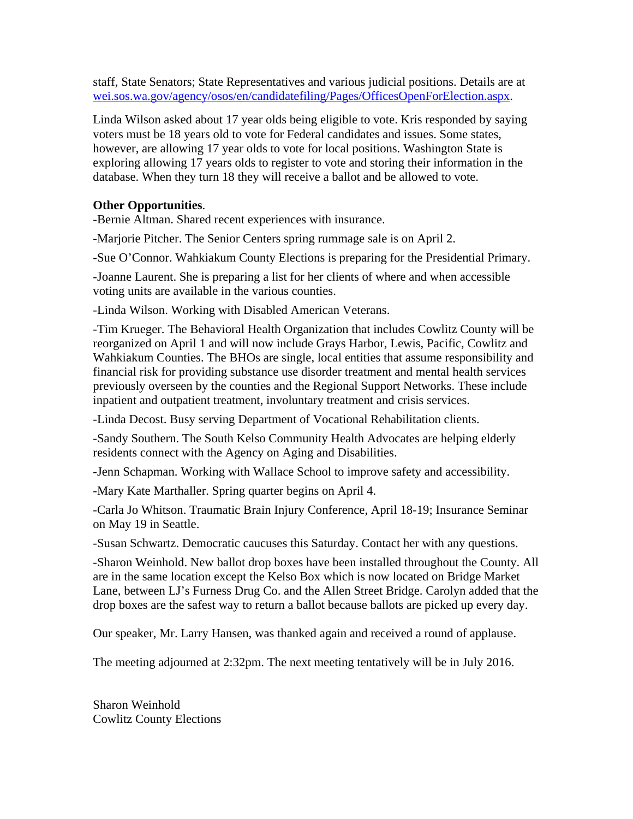staff, State Senators; State Representatives and various judicial positions. Details are at wei.sos.wa.gov/agency/osos/en/candidatefiling/Pages/OfficesOpenForElection.aspx.

Linda Wilson asked about 17 year olds being eligible to vote. Kris responded by saying voters must be 18 years old to vote for Federal candidates and issues. Some states, however, are allowing 17 year olds to vote for local positions. Washington State is exploring allowing 17 years olds to register to vote and storing their information in the database. When they turn 18 they will receive a ballot and be allowed to vote.

# **Other Opportunities**.

-Bernie Altman. Shared recent experiences with insurance.

-Marjorie Pitcher. The Senior Centers spring rummage sale is on April 2.

-Sue O'Connor. Wahkiakum County Elections is preparing for the Presidential Primary.

-Joanne Laurent. She is preparing a list for her clients of where and when accessible voting units are available in the various counties.

-Linda Wilson. Working with Disabled American Veterans.

-Tim Krueger. The Behavioral Health Organization that includes Cowlitz County will be reorganized on April 1 and will now include Grays Harbor, Lewis, Pacific, Cowlitz and Wahkiakum Counties. The BHOs are single, local entities that assume responsibility and financial risk for providing substance use disorder treatment and mental health services previously overseen by the counties and the Regional Support Networks. These include inpatient and outpatient treatment, involuntary treatment and crisis services.

-Linda Decost. Busy serving Department of Vocational Rehabilitation clients.

-Sandy Southern. The South Kelso Community Health Advocates are helping elderly residents connect with the Agency on Aging and Disabilities.

-Jenn Schapman. Working with Wallace School to improve safety and accessibility.

-Mary Kate Marthaller. Spring quarter begins on April 4.

-Carla Jo Whitson. Traumatic Brain Injury Conference, April 18-19; Insurance Seminar on May 19 in Seattle.

-Susan Schwartz. Democratic caucuses this Saturday. Contact her with any questions.

-Sharon Weinhold. New ballot drop boxes have been installed throughout the County. All are in the same location except the Kelso Box which is now located on Bridge Market Lane, between LJ's Furness Drug Co. and the Allen Street Bridge. Carolyn added that the drop boxes are the safest way to return a ballot because ballots are picked up every day.

Our speaker, Mr. Larry Hansen, was thanked again and received a round of applause.

The meeting adjourned at 2:32pm. The next meeting tentatively will be in July 2016.

Sharon Weinhold Cowlitz County Elections